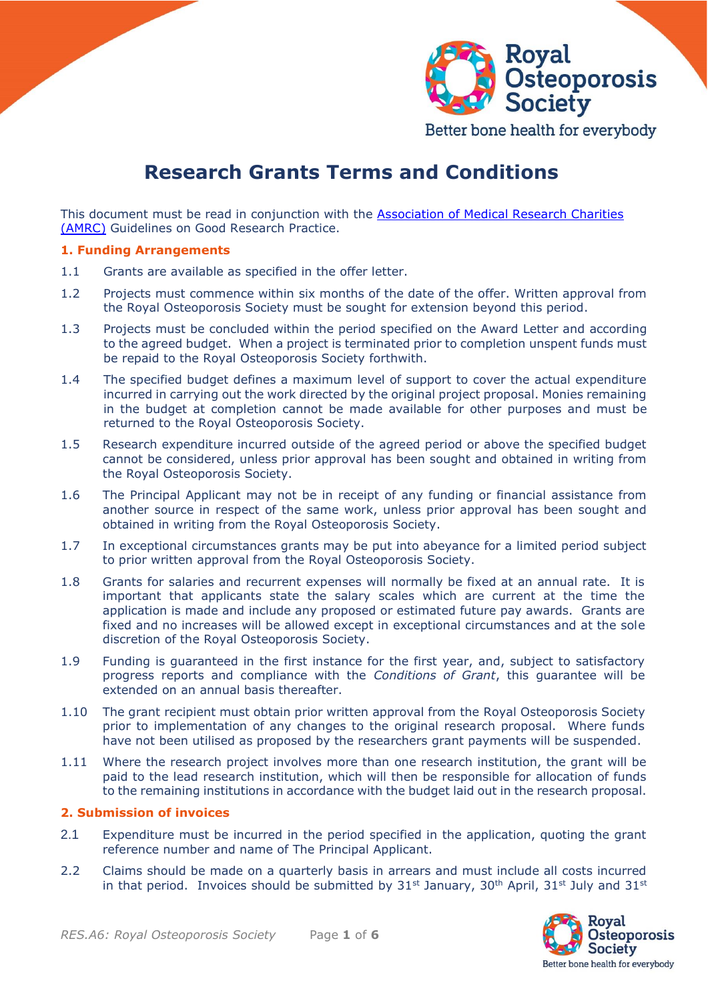

Better bone health for everybody

# **Research Grants Terms and Conditions**

This document must be read in conjunction with the [Association of Medical Research Charities](https://www.amrc.org.uk/)  [\(AMRC\)](https://www.amrc.org.uk/) Guidelines on Good Research Practice.

#### **1. Funding Arrangements**

- 1.1 Grants are available as specified in the offer letter.
- 1.2 Projects must commence within six months of the date of the offer. Written approval from the Royal Osteoporosis Society must be sought for extension beyond this period.
- 1.3 Projects must be concluded within the period specified on the Award Letter and according to the agreed budget. When a project is terminated prior to completion unspent funds must be repaid to the Royal Osteoporosis Society forthwith.
- 1.4 The specified budget defines a maximum level of support to cover the actual expenditure incurred in carrying out the work directed by the original project proposal. Monies remaining in the budget at completion cannot be made available for other purposes and must be returned to the Royal Osteoporosis Society.
- 1.5 Research expenditure incurred outside of the agreed period or above the specified budget cannot be considered, unless prior approval has been sought and obtained in writing from the Royal Osteoporosis Society.
- 1.6 The Principal Applicant may not be in receipt of any funding or financial assistance from another source in respect of the same work, unless prior approval has been sought and obtained in writing from the Royal Osteoporosis Society.
- 1.7 In exceptional circumstances grants may be put into abeyance for a limited period subject to prior written approval from the Royal Osteoporosis Society.
- 1.8 Grants for salaries and recurrent expenses will normally be fixed at an annual rate. It is important that applicants state the salary scales which are current at the time the application is made and include any proposed or estimated future pay awards. Grants are fixed and no increases will be allowed except in exceptional circumstances and at the sole discretion of the Royal Osteoporosis Society.
- 1.9 Funding is guaranteed in the first instance for the first year, and, subject to satisfactory progress reports and compliance with the *Conditions of Grant*, this guarantee will be extended on an annual basis thereafter.
- 1.10 The grant recipient must obtain prior written approval from the Royal Osteoporosis Society prior to implementation of any changes to the original research proposal. Where funds have not been utilised as proposed by the researchers grant payments will be suspended.
- 1.11 Where the research project involves more than one research institution, the grant will be paid to the lead research institution, which will then be responsible for allocation of funds to the remaining institutions in accordance with the budget laid out in the research proposal.

#### **2. Submission of invoices**

- 2.1 Expenditure must be incurred in the period specified in the application, quoting the grant reference number and name of The Principal Applicant.
- 2.2 Claims should be made on a quarterly basis in arrears and must include all costs incurred in that period. Invoices should be submitted by 31<sup>st</sup> January, 30<sup>th</sup> April, 31<sup>st</sup> July and 31<sup>st</sup>

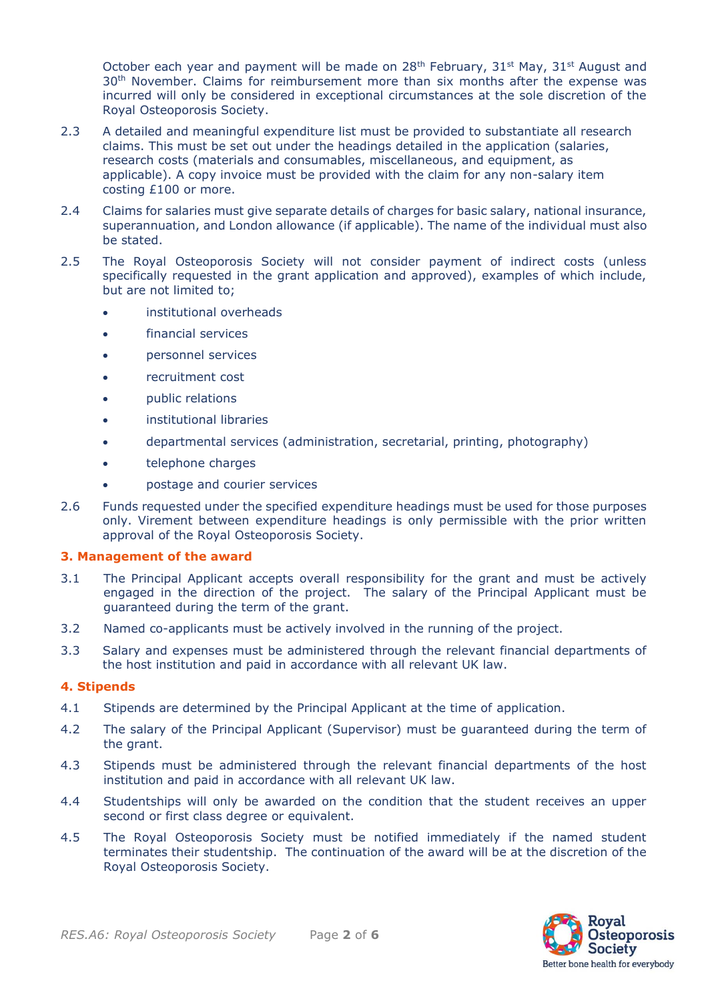October each year and payment will be made on 28<sup>th</sup> February, 31<sup>st</sup> May, 31<sup>st</sup> August and 30<sup>th</sup> November. Claims for reimbursement more than six months after the expense was incurred will only be considered in exceptional circumstances at the sole discretion of the Royal Osteoporosis Society.

- 2.3 A detailed and meaningful expenditure list must be provided to substantiate all research claims. This must be set out under the headings detailed in the application (salaries, research costs (materials and consumables, miscellaneous, and equipment, as applicable). A copy invoice must be provided with the claim for any non-salary item costing £100 or more.
- 2.4 Claims for salaries must give separate details of charges for basic salary, national insurance, superannuation, and London allowance (if applicable). The name of the individual must also be stated.
- 2.5 The Royal Osteoporosis Society will not consider payment of indirect costs (unless specifically requested in the grant application and approved), examples of which include, but are not limited to;
	- institutional overheads
	- financial services
	- personnel services
	- recruitment cost
	- public relations
	- institutional libraries
	- departmental services (administration, secretarial, printing, photography)
	- telephone charges
	- postage and courier services
- 2.6 Funds requested under the specified expenditure headings must be used for those purposes only. Virement between expenditure headings is only permissible with the prior written approval of the Royal Osteoporosis Society.

#### **3. Management of the award**

- 3.1 The Principal Applicant accepts overall responsibility for the grant and must be actively engaged in the direction of the project. The salary of the Principal Applicant must be guaranteed during the term of the grant.
- 3.2 Named co-applicants must be actively involved in the running of the project.
- 3.3 Salary and expenses must be administered through the relevant financial departments of the host institution and paid in accordance with all relevant UK law.

### **4. Stipends**

- 4.1 Stipends are determined by the Principal Applicant at the time of application.
- 4.2 The salary of the Principal Applicant (Supervisor) must be guaranteed during the term of the grant.
- 4.3 Stipends must be administered through the relevant financial departments of the host institution and paid in accordance with all relevant UK law.
- 4.4 Studentships will only be awarded on the condition that the student receives an upper second or first class degree or equivalent.
- 4.5 The Royal Osteoporosis Society must be notified immediately if the named student terminates their studentship. The continuation of the award will be at the discretion of the Royal Osteoporosis Society.

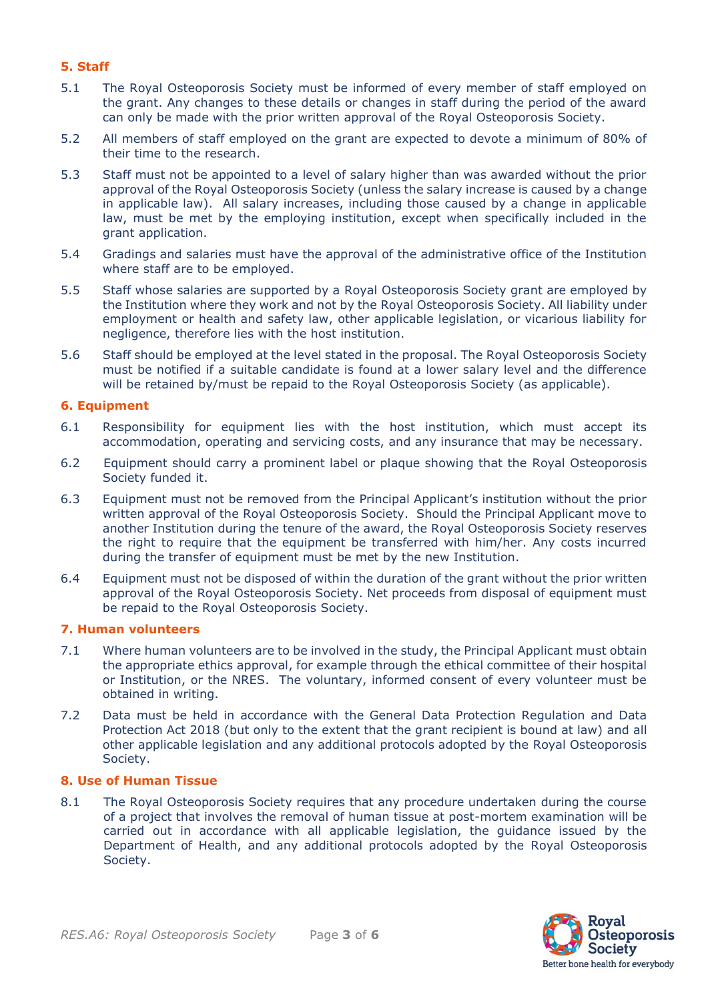## **5. Staff**

- 5.1 The Royal Osteoporosis Society must be informed of every member of staff employed on the grant. Any changes to these details or changes in staff during the period of the award can only be made with the prior written approval of the Royal Osteoporosis Society.
- 5.2 All members of staff employed on the grant are expected to devote a minimum of 80% of their time to the research.
- 5.3 Staff must not be appointed to a level of salary higher than was awarded without the prior approval of the Royal Osteoporosis Society (unless the salary increase is caused by a change in applicable law). All salary increases, including those caused by a change in applicable law, must be met by the employing institution, except when specifically included in the grant application.
- 5.4 Gradings and salaries must have the approval of the administrative office of the Institution where staff are to be employed.
- 5.5 Staff whose salaries are supported by a Royal Osteoporosis Society grant are employed by the Institution where they work and not by the Royal Osteoporosis Society. All liability under employment or health and safety law, other applicable legislation, or vicarious liability for negligence, therefore lies with the host institution.
- 5.6 Staff should be employed at the level stated in the proposal. The Royal Osteoporosis Society must be notified if a suitable candidate is found at a lower salary level and the difference will be retained by/must be repaid to the Royal Osteoporosis Society (as applicable).

#### **6. Equipment**

- 6.1 Responsibility for equipment lies with the host institution, which must accept its accommodation, operating and servicing costs, and any insurance that may be necessary.
- 6.2 Equipment should carry a prominent label or plaque showing that the Royal Osteoporosis Society funded it.
- 6.3 Equipment must not be removed from the Principal Applicant's institution without the prior written approval of the Royal Osteoporosis Society. Should the Principal Applicant move to another Institution during the tenure of the award, the Royal Osteoporosis Society reserves the right to require that the equipment be transferred with him/her. Any costs incurred during the transfer of equipment must be met by the new Institution.
- 6.4 Equipment must not be disposed of within the duration of the grant without the prior written approval of the Royal Osteoporosis Society. Net proceeds from disposal of equipment must be repaid to the Royal Osteoporosis Society.

#### **7. Human volunteers**

- 7.1 Where human volunteers are to be involved in the study, the Principal Applicant must obtain the appropriate ethics approval, for example through the ethical committee of their hospital or Institution, or the NRES. The voluntary, informed consent of every volunteer must be obtained in writing.
- 7.2 Data must be held in accordance with the General Data Protection Regulation and Data Protection Act 2018 (but only to the extent that the grant recipient is bound at law) and all other applicable legislation and any additional protocols adopted by the Royal Osteoporosis Society.

## **8. Use of Human Tissue**

8.1 The Royal Osteoporosis Society requires that any procedure undertaken during the course of a project that involves the removal of human tissue at post-mortem examination will be carried out in accordance with all applicable legislation, the guidance issued by the Department of Health, and any additional protocols adopted by the Royal Osteoporosis Society.

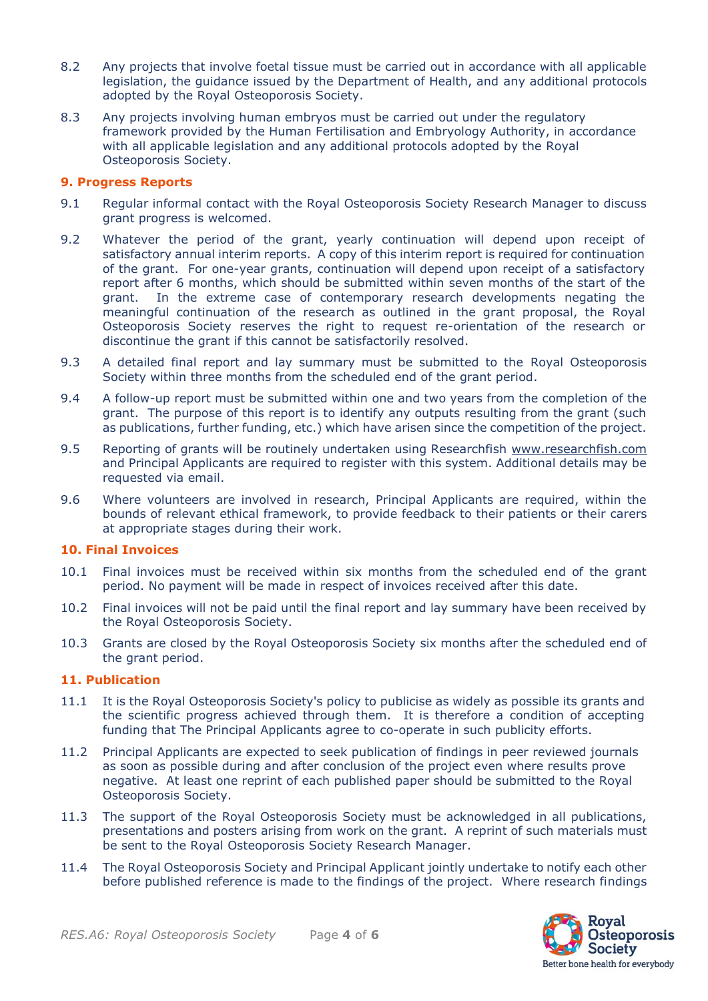- 8.2 Any projects that involve foetal tissue must be carried out in accordance with all applicable legislation, the guidance issued by the Department of Health, and any additional protocols adopted by the Royal Osteoporosis Society.
- 8.3 Any projects involving human embryos must be carried out under the regulatory framework provided by the Human Fertilisation and Embryology Authority, in accordance with all applicable legislation and any additional protocols adopted by the Royal Osteoporosis Society.

### **9. Progress Reports**

- 9.1 Regular informal contact with the Royal Osteoporosis Society Research Manager to discuss grant progress is welcomed.
- 9.2 Whatever the period of the grant, yearly continuation will depend upon receipt of satisfactory annual interim reports. A copy of this interim report is required for continuation of the grant. For one-year grants, continuation will depend upon receipt of a satisfactory report after 6 months, which should be submitted within seven months of the start of the grant. In the extreme case of contemporary research developments negating the meaningful continuation of the research as outlined in the grant proposal, the Royal Osteoporosis Society reserves the right to request re-orientation of the research or discontinue the grant if this cannot be satisfactorily resolved.
- 9.3 A detailed final report and lay summary must be submitted to the Royal Osteoporosis Society within three months from the scheduled end of the grant period.
- 9.4 A follow-up report must be submitted within one and two years from the completion of the grant. The purpose of this report is to identify any outputs resulting from the grant (such as publications, further funding, etc.) which have arisen since the competition of the project.
- 9.5 Reporting of grants will be routinely undertaken using Researchfish [www.researchfish.com](http://www.researchfish.com/) and Principal Applicants are required to register with this system. Additional details may be requested via email.
- 9.6 Where volunteers are involved in research, Principal Applicants are required, within the bounds of relevant ethical framework, to provide feedback to their patients or their carers at appropriate stages during their work.

#### **10. Final Invoices**

- 10.1 Final invoices must be received within six months from the scheduled end of the grant period. No payment will be made in respect of invoices received after this date.
- 10.2 Final invoices will not be paid until the final report and lay summary have been received by the Royal Osteoporosis Society.
- 10.3 Grants are closed by the Royal Osteoporosis Society six months after the scheduled end of the grant period.

#### **11. Publication**

- 11.1 It is the Royal Osteoporosis Society's policy to publicise as widely as possible its grants and the scientific progress achieved through them. It is therefore a condition of accepting funding that The Principal Applicants agree to co-operate in such publicity efforts.
- 11.2 Principal Applicants are expected to seek publication of findings in peer reviewed journals as soon as possible during and after conclusion of the project even where results prove negative. At least one reprint of each published paper should be submitted to the Royal Osteoporosis Society.
- 11.3 The support of the Royal Osteoporosis Society must be acknowledged in all publications, presentations and posters arising from work on the grant. A reprint of such materials must be sent to the Royal Osteoporosis Society Research Manager.
- 11.4 The Royal Osteoporosis Society and Principal Applicant jointly undertake to notify each other before published reference is made to the findings of the project. Where research findings

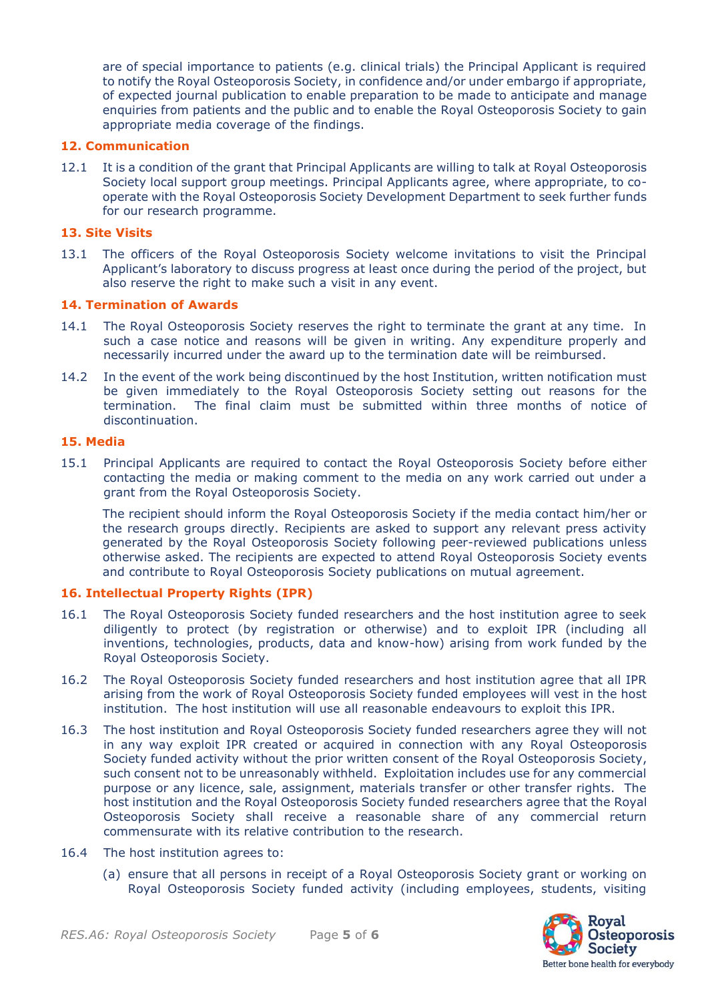are of special importance to patients (e.g. clinical trials) the Principal Applicant is required to notify the Royal Osteoporosis Society, in confidence and/or under embargo if appropriate, of expected journal publication to enable preparation to be made to anticipate and manage enquiries from patients and the public and to enable the Royal Osteoporosis Society to gain appropriate media coverage of the findings.

#### **12. Communication**

12.1 It is a condition of the grant that Principal Applicants are willing to talk at Royal Osteoporosis Society local support group meetings. Principal Applicants agree, where appropriate, to cooperate with the Royal Osteoporosis Society Development Department to seek further funds for our research programme.

### **13. Site Visits**

13.1 The officers of the Royal Osteoporosis Society welcome invitations to visit the Principal Applicant's laboratory to discuss progress at least once during the period of the project, but also reserve the right to make such a visit in any event.

#### **14. Termination of Awards**

- 14.1 The Royal Osteoporosis Society reserves the right to terminate the grant at any time. In such a case notice and reasons will be given in writing. Any expenditure properly and necessarily incurred under the award up to the termination date will be reimbursed.
- 14.2 In the event of the work being discontinued by the host Institution, written notification must be given immediately to the Royal Osteoporosis Society setting out reasons for the termination. The final claim must be submitted within three months of notice of discontinuation.

### **15. Media**

15.1 Principal Applicants are required to contact the Royal Osteoporosis Society before either contacting the media or making comment to the media on any work carried out under a grant from the Royal Osteoporosis Society.

The recipient should inform the Royal Osteoporosis Society if the media contact him/her or the research groups directly. Recipients are asked to support any relevant press activity generated by the Royal Osteoporosis Society following peer-reviewed publications unless otherwise asked. The recipients are expected to attend Royal Osteoporosis Society events and contribute to Royal Osteoporosis Society publications on mutual agreement.

#### **16. Intellectual Property Rights (IPR)**

- 16.1 The Royal Osteoporosis Society funded researchers and the host institution agree to seek diligently to protect (by registration or otherwise) and to exploit IPR (including all inventions, technologies, products, data and know-how) arising from work funded by the Royal Osteoporosis Society.
- 16.2 The Royal Osteoporosis Society funded researchers and host institution agree that all IPR arising from the work of Royal Osteoporosis Society funded employees will vest in the host institution. The host institution will use all reasonable endeavours to exploit this IPR.
- 16.3 The host institution and Royal Osteoporosis Society funded researchers agree they will not in any way exploit IPR created or acquired in connection with any Royal Osteoporosis Society funded activity without the prior written consent of the Royal Osteoporosis Society, such consent not to be unreasonably withheld. Exploitation includes use for any commercial purpose or any licence, sale, assignment, materials transfer or other transfer rights. The host institution and the Royal Osteoporosis Society funded researchers agree that the Royal Osteoporosis Society shall receive a reasonable share of any commercial return commensurate with its relative contribution to the research.
- 16.4 The host institution agrees to:
	- (a) ensure that all persons in receipt of a Royal Osteoporosis Society grant or working on Royal Osteoporosis Society funded activity (including employees, students, visiting